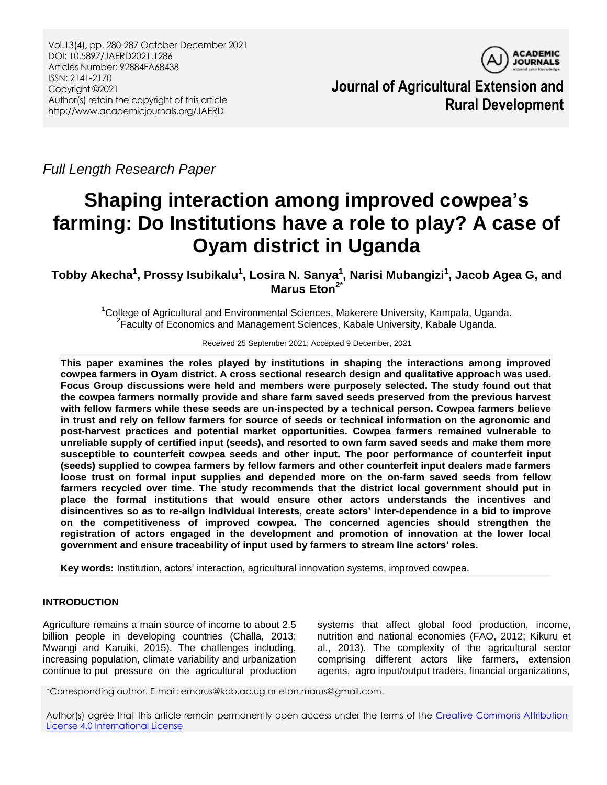

**Journal of Agricultural Extension and Rural Development**

*Full Length Research Paper*

# **Shaping interaction among improved cowpea's farming: Do Institutions have a role to play? A case of Oyam district in Uganda**

**Tobby Akecha<sup>1</sup> , Prossy Isubikalu<sup>1</sup> , Losira N. Sanya<sup>1</sup> , Narisi Mubangizi<sup>1</sup> , Jacob Agea G, and Marus Eton2\***

<sup>1</sup>College of Agricultural and Environmental Sciences, Makerere University, Kampala, Uganda. <sup>2</sup> Faculty of Economics and Management Sciences, Kabale University, Kabale Uganda.

Received 25 September 2021; Accepted 9 December, 2021

**This paper examines the roles played by institutions in shaping the interactions among improved cowpea farmers in Oyam district. A cross sectional research design and qualitative approach was used. Focus Group discussions were held and members were purposely selected. The study found out that the cowpea farmers normally provide and share farm saved seeds preserved from the previous harvest with fellow farmers while these seeds are un-inspected by a technical person. Cowpea farmers believe in trust and rely on fellow farmers for source of seeds or technical information on the agronomic and post-harvest practices and potential market opportunities. Cowpea farmers remained vulnerable to unreliable supply of certified input (seeds), and resorted to own farm saved seeds and make them more susceptible to counterfeit cowpea seeds and other input. The poor performance of counterfeit input (seeds) supplied to cowpea farmers by fellow farmers and other counterfeit input dealers made farmers loose trust on formal input supplies and depended more on the on-farm saved seeds from fellow farmers recycled over time. The study recommends that the district local government should put in place the formal institutions that would ensure other actors understands the incentives and disincentives so as to re-align individual interests, create actors' inter-dependence in a bid to improve on the competitiveness of improved cowpea. The concerned agencies should strengthen the registration of actors engaged in the development and promotion of innovation at the lower local government and ensure traceability of input used by farmers to stream line actors' roles.**

**Key words:** Institution, actors" interaction, agricultural innovation systems, improved cowpea.

# **INTRODUCTION**

Agriculture remains a main source of income to about 2.5 billion people in developing countries (Challa, 2013; Mwangi and Karuiki, 2015). The challenges including, increasing population, climate variability and urbanization continue to put pressure on the agricultural production

systems that affect global food production, income, nutrition and national economies (FAO, 2012; Kikuru et al., 2013). The complexity of the agricultural sector comprising different actors like farmers, extension agents, agro input/output traders, financial organizations,

\*Corresponding author. E-mail: emarus@kab.ac.ug or eton.marus@gmail.com.

Author(s) agree that this article remain permanently open access under the terms of the Creative Commons Attribution [License 4.0 International License](http://creativecommons.org/licenses/by/4.0/deed.en_US)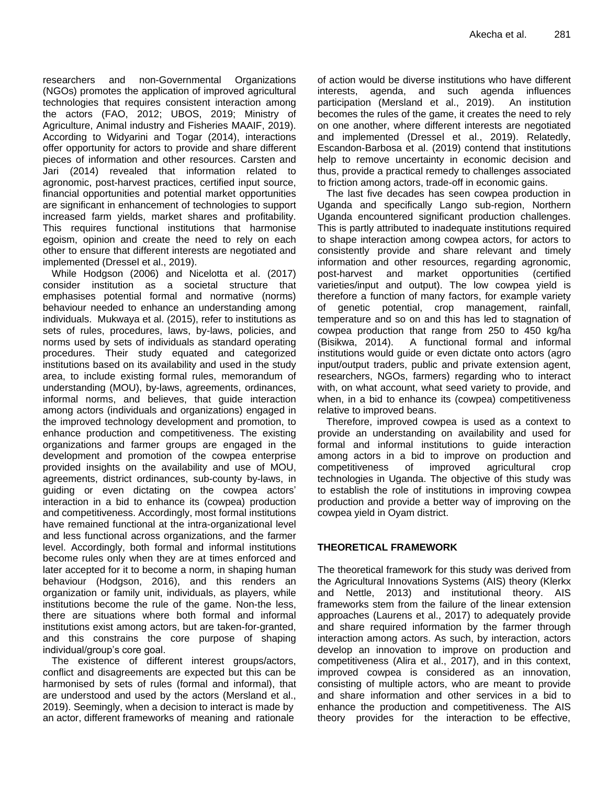researchers and non-Governmental Organizations (NGOs) promotes the application of improved agricultural technologies that requires consistent interaction among the actors (FAO, 2012; UBOS, 2019; Ministry of Agriculture, Animal industry and Fisheries MAAIF, 2019). According to Widyarini and Togar (2014), interactions offer opportunity for actors to provide and share different pieces of information and other resources. Carsten and Jari (2014) revealed that information related to agronomic, post-harvest practices, certified input source, financial opportunities and potential market opportunities are significant in enhancement of technologies to support increased farm yields, market shares and profitability. This requires functional institutions that harmonise egoism, opinion and create the need to rely on each other to ensure that different interests are negotiated and implemented (Dressel et al., 2019).

While Hodgson (2006) and Nicelotta et al. (2017) consider institution as a societal structure that emphasises potential formal and normative (norms) behaviour needed to enhance an understanding among individuals. Mukwaya et al. (2015), refer to institutions as sets of rules, procedures, laws, by-laws, policies, and norms used by sets of individuals as standard operating procedures. Their study equated and categorized institutions based on its availability and used in the study area, to include existing formal rules, memorandum of understanding (MOU), by-laws, agreements, ordinances, informal norms, and believes, that guide interaction among actors (individuals and organizations) engaged in the improved technology development and promotion, to enhance production and competitiveness. The existing organizations and farmer groups are engaged in the development and promotion of the cowpea enterprise provided insights on the availability and use of MOU, agreements, district ordinances, sub-county by-laws, in guiding or even dictating on the cowpea actors" interaction in a bid to enhance its (cowpea) production and competitiveness. Accordingly, most formal institutions have remained functional at the intra-organizational level and less functional across organizations, and the farmer level. Accordingly, both formal and informal institutions become rules only when they are at times enforced and later accepted for it to become a norm, in shaping human behaviour (Hodgson, 2016), and this renders an organization or family unit, individuals, as players, while institutions become the rule of the game. Non-the less, there are situations where both formal and informal institutions exist among actors, but are taken-for-granted, and this constrains the core purpose of shaping individual/group"s core goal.

The existence of different interest groups/actors, conflict and disagreements are expected but this can be harmonised by sets of rules (formal and informal), that are understood and used by the actors (Mersland et al., 2019). Seemingly, when a decision to interact is made by an actor, different frameworks of meaning and rationale

of action would be diverse institutions who have different interests, agenda, and such agenda influences participation (Mersland et al., 2019). An institution becomes the rules of the game, it creates the need to rely on one another, where different interests are negotiated and implemented (Dressel et al., 2019). Relatedly, Escandon-Barbosa et al. (2019) contend that institutions help to remove uncertainty in economic decision and thus, provide a practical remedy to challenges associated to friction among actors, trade-off in economic gains.

The last five decades has seen cowpea production in Uganda and specifically Lango sub-region, Northern Uganda encountered significant production challenges. This is partly attributed to inadequate institutions required to shape interaction among cowpea actors, for actors to consistently provide and share relevant and timely information and other resources, regarding agronomic, post-harvest and market opportunities (certified varieties/input and output). The low cowpea yield is therefore a function of many factors, for example variety of genetic potential, crop management, rainfall, temperature and so on and this has led to stagnation of cowpea production that range from 250 to 450 kg/ha (Bisikwa, 2014). A functional formal and informal institutions would guide or even dictate onto actors (agro input/output traders, public and private extension agent, researchers, NGOs, farmers) regarding who to interact with, on what account, what seed variety to provide, and when, in a bid to enhance its (cowpea) competitiveness relative to improved beans.

Therefore, improved cowpea is used as a context to provide an understanding on availability and used for formal and informal institutions to guide interaction among actors in a bid to improve on production and competitiveness of improved agricultural crop technologies in Uganda. The objective of this study was to establish the role of institutions in improving cowpea production and provide a better way of improving on the cowpea yield in Oyam district.

## **THEORETICAL FRAMEWORK**

The theoretical framework for this study was derived from the Agricultural Innovations Systems (AIS) theory (Klerkx and Nettle, 2013) and institutional theory. AIS frameworks stem from the failure of the linear extension approaches (Laurens et al., 2017) to adequately provide and share required information by the farmer through interaction among actors. As such, by interaction, actors develop an innovation to improve on production and competitiveness (Alira et al., 2017), and in this context, improved cowpea is considered as an innovation, consisting of multiple actors, who are meant to provide and share information and other services in a bid to enhance the production and competitiveness. The AIS theory provides for the interaction to be effective,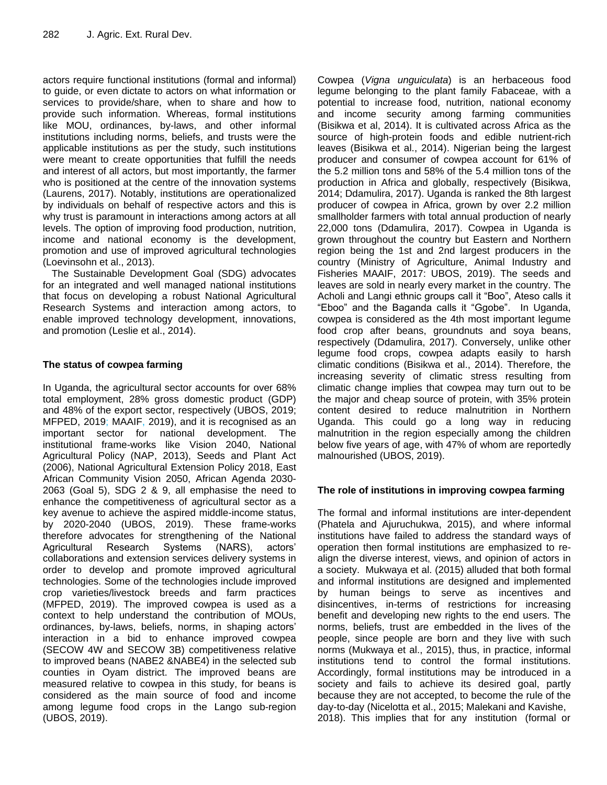actors require functional institutions (formal and informal) to guide, or even dictate to actors on what information or services to provide/share, when to share and how to provide such information. Whereas, formal institutions like MOU, ordinances, by-laws, and other informal institutions including norms, beliefs, and trusts were the applicable institutions as per the study, such institutions were meant to create opportunities that fulfill the needs and interest of all actors, but most importantly, the farmer who is positioned at the centre of the innovation systems (Laurens, 2017). Notably, institutions are operationalized by individuals on behalf of respective actors and this is why trust is paramount in interactions among actors at all levels. The option of improving food production, nutrition, income and national economy is the development, promotion and use of improved agricultural technologies (Loevinsohn et al., 2013).

The Sustainable Development Goal (SDG) advocates for an integrated and well managed national institutions that focus on developing a robust National Agricultural Research Systems and interaction among actors, to enable improved technology development, innovations, and promotion (Leslie et al., 2014).

# **The status of cowpea farming**

In Uganda, the agricultural sector accounts for over 68% total employment, 28% gross domestic product (GDP) and 48% of the export sector, respectively (UBOS, 2019; MFPED, 2019; MAAIF, 2019), and it is recognised as an important sector for national development. The institutional frame-works like Vision 2040, National Agricultural Policy (NAP, 2013), Seeds and Plant Act (2006), National Agricultural Extension Policy 2018, East African Community Vision 2050, African Agenda 2030- 2063 (Goal 5), SDG 2 & 9, all emphasise the need to enhance the competitiveness of agricultural sector as a key avenue to achieve the aspired middle-income status, by 2020-2040 (UBOS, 2019). These frame-works therefore advocates for strengthening of the National Agricultural Research Systems (NARS), actors" collaborations and extension services delivery systems in order to develop and promote improved agricultural technologies. Some of the technologies include improved crop varieties/livestock breeds and farm practices (MFPED, 2019). The improved cowpea is used as a context to help understand the contribution of MOUs, ordinances, by-laws, beliefs, norms, in shaping actors" interaction in a bid to enhance improved cowpea (SECOW 4W and SECOW 3B) competitiveness relative to improved beans (NABE2 &NABE4) in the selected sub counties in Oyam district. The improved beans are measured relative to cowpea in this study, for beans is considered as the main source of food and income among legume food crops in the Lango sub-region (UBOS, 2019).

Cowpea (*Vigna unguiculata*) is an herbaceous food legume belonging to the plant family Fabaceae, with a potential to increase food, nutrition, national economy and income security among farming communities (Bisikwa et al, 2014). It is cultivated across Africa as the source of high-protein foods and edible nutrient-rich leaves (Bisikwa et al., 2014). Nigerian being the largest producer and consumer of cowpea account for 61% of the 5.2 million tons and 58% of the 5.4 million tons of the production in Africa and globally, respectively (Bisikwa, 2014; Ddamulira, 2017). Uganda is ranked the 8th largest producer of cowpea in Africa, grown by over 2.2 million smallholder farmers with total annual production of nearly 22,000 tons (Ddamulira, 2017). Cowpea in Uganda is grown throughout the country but Eastern and Northern region being the 1st and 2nd largest producers in the country (Ministry of Agriculture, Animal Industry and Fisheries MAAIF, 2017: UBOS, 2019). The seeds and leaves are sold in nearly every market in the country. The Acholi and Langi ethnic groups call it "Boo", Ateso calls it "Eboo" and the Baganda calls it "Ggobe". In Uganda, cowpea is considered as the 4th most important legume food crop after beans, groundnuts and soya beans, respectively (Ddamulira, 2017). Conversely, unlike other legume food crops, cowpea adapts easily to harsh climatic conditions (Bisikwa et al., 2014). Therefore, the increasing severity of climatic stress resulting from climatic change implies that cowpea may turn out to be the major and cheap source of protein, with 35% protein content desired to reduce malnutrition in Northern Uganda. This could go a long way in reducing malnutrition in the region especially among the children below five years of age, with 47% of whom are reportedly malnourished (UBOS, 2019).

# **The role of institutions in improving cowpea farming**

The formal and informal institutions are inter-dependent (Phatela and Ajuruchukwa, 2015), and where informal institutions have failed to address the standard ways of operation then formal institutions are emphasized to realign the diverse interest, views, and opinion of actors in a society. Mukwaya et al. (2015) alluded that both formal and informal institutions are designed and implemented by human beings to serve as incentives and disincentives, in-terms of restrictions for increasing benefit and developing new rights to the end users. The norms, beliefs, trust are embedded in the lives of the people, since people are born and they live with such norms (Mukwaya et al., 2015), thus, in practice, informal institutions tend to control the formal institutions. Accordingly, formal institutions may be introduced in a society and fails to achieve its desired goal, partly because they are not accepted, to become the rule of the day-to-day (Nicelotta et al., 2015; Malekani and Kavishe, 2018). This implies that for any institution (formal or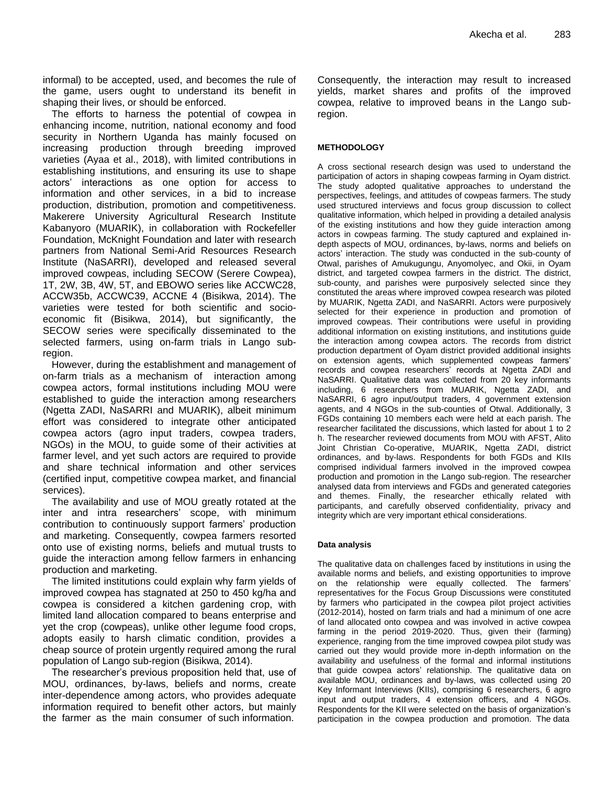informal) to be accepted, used, and becomes the rule of the game, users ought to understand its benefit in shaping their lives, or should be enforced.

The efforts to harness the potential of cowpea in enhancing income, nutrition, national economy and food security in Northern Uganda has mainly focused on increasing production through breeding improved varieties (Ayaa et al., 2018), with limited contributions in establishing institutions, and ensuring its use to shape actors" interactions as one option for access to information and other services, in a bid to increase production, distribution, promotion and competitiveness. Makerere University Agricultural Research Institute Kabanyoro (MUARIK), in collaboration with Rockefeller Foundation, McKnight Foundation and later with research partners from National Semi-Arid Resources Research Institute (NaSARRI), developed and released several improved cowpeas, including SECOW (Serere Cowpea), 1T, 2W, 3B, 4W, 5T, and EBOWO series like ACCWC28, ACCW35b, ACCWC39, ACCNE 4 (Bisikwa, 2014). The varieties were tested for both scientific and socioeconomic fit (Bisikwa, 2014), but significantly, the SECOW series were specifically disseminated to the selected farmers, using on-farm trials in Lango subregion.

However, during the establishment and management of on-farm trials as a mechanism of interaction among cowpea actors, formal institutions including MOU were established to guide the interaction among researchers (Ngetta ZADI, NaSARRI and MUARIK), albeit minimum effort was considered to integrate other anticipated cowpea actors (agro input traders, cowpea traders, NGOs) in the MOU, to guide some of their activities at farmer level, and yet such actors are required to provide and share technical information and other services (certified input, competitive cowpea market, and financial services).

The availability and use of MOU greatly rotated at the inter and intra researchers" scope, with minimum contribution to continuously support farmers" production and marketing. Consequently, cowpea farmers resorted onto use of existing norms, beliefs and mutual trusts to guide the interaction among fellow farmers in enhancing production and marketing.

The limited institutions could explain why farm yields of improved cowpea has stagnated at 250 to 450 kg/ha and cowpea is considered a kitchen gardening crop, with limited land allocation compared to beans enterprise and yet the crop (cowpeas), unlike other legume food crops, adopts easily to harsh climatic condition, provides a cheap source of protein urgently required among the rural population of Lango sub-region (Bisikwa, 2014).

The researcher"s previous proposition held that, use of MOU, ordinances, by-laws, beliefs and norms, create inter-dependence among actors, who provides adequate information required to benefit other actors, but mainly the farmer as the main consumer of such information.

Consequently, the interaction may result to increased yields, market shares and profits of the improved cowpea, relative to improved beans in the Lango subregion.

#### **METHODOLOGY**

A cross sectional research design was used to understand the participation of actors in shaping cowpeas farming in Oyam district. The study adopted qualitative approaches to understand the perspectives, feelings, and attitudes of cowpeas farmers. The study used structured interviews and focus group discussion to collect qualitative information, which helped in providing a detailed analysis of the existing institutions and how they guide interaction among actors in cowpeas farming. The study captured and explained indepth aspects of MOU, ordinances, by-laws, norms and beliefs on actors' interaction. The study was conducted in the sub-county of Otwal, parishes of Amukugungu, Anyomolyec, and Okii, in Oyam district, and targeted cowpea farmers in the district. The district, sub-county, and parishes were purposively selected since they constituted the areas where improved cowpea research was piloted by MUARIK, Ngetta ZADI, and NaSARRI. Actors were purposively selected for their experience in production and promotion of improved cowpeas. Their contributions were useful in providing additional information on existing institutions, and institutions guide the interaction among cowpea actors. The records from district production department of Oyam district provided additional insights on extension agents, which supplemented cowpeas farmers' records and cowpea researchers" records at Ngetta ZADI and NaSARRI. Qualitative data was collected from 20 key informants including, 6 researchers from MUARIK, Ngetta ZADI, and NaSARRI, 6 agro input/output traders, 4 government extension agents, and 4 NGOs in the sub-counties of Otwal. Additionally, 3 FGDs containing 10 members each were held at each parish. The researcher facilitated the discussions, which lasted for about 1 to 2 h. The researcher reviewed documents from MOU with AFST, Alito Joint Christian Co-operative, MUARIK, Ngetta ZADI, district ordinances, and by-laws. Respondents for both FGDs and KIIs comprised individual farmers involved in the improved cowpea production and promotion in the Lango sub-region. The researcher analysed data from interviews and FGDs and generated categories and themes. Finally, the researcher ethically related with participants, and carefully observed confidentiality, privacy and integrity which are very important ethical considerations.

#### **Data analysis**

The qualitative data on challenges faced by institutions in using the available norms and beliefs, and existing opportunities to improve on the relationship were equally collected. The farmers" representatives for the Focus Group Discussions were constituted by farmers who participated in the cowpea pilot project activities (2012-2014), hosted on farm trials and had a minimum of one acre of land allocated onto cowpea and was involved in active cowpea farming in the period 2019-2020. Thus, given their (farming) experience, ranging from the time improved cowpea pilot study was carried out they would provide more in-depth information on the availability and usefulness of the formal and informal institutions that guide cowpea actors' relationship. The qualitative data on available MOU, ordinances and by-laws, was collected using 20 Key Informant Interviews (KIIs), comprising 6 researchers, 6 agro input and output traders, 4 extension officers, and 4 NGOs. Respondents for the KII were selected on the basis of organization"s participation in the cowpea production and promotion. The data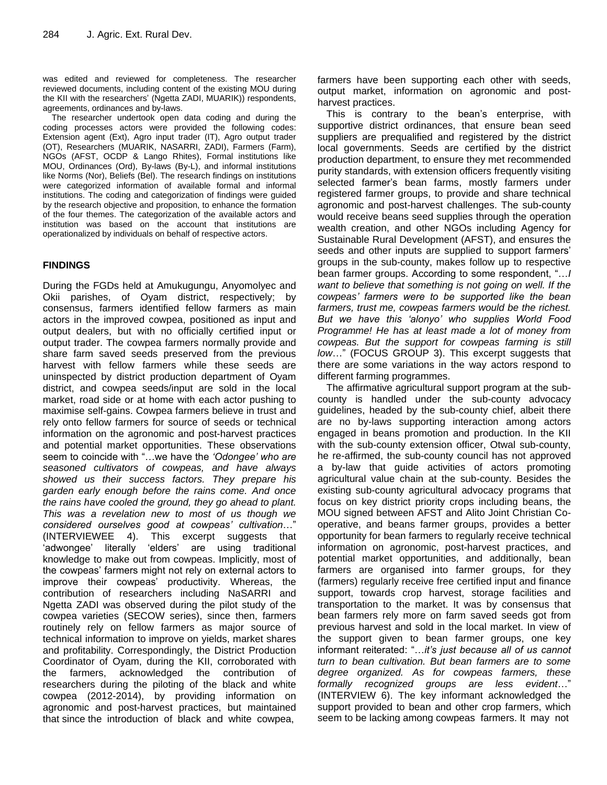was edited and reviewed for completeness. The researcher reviewed documents, including content of the existing MOU during the KII with the researchers" (Ngetta ZADI, MUARIK)) respondents, agreements, ordinances and by-laws.

The researcher undertook open data coding and during the coding processes actors were provided the following codes: Extension agent (Ext), Agro input trader (IT), Agro output trader (OT), Researchers (MUARIK, NASARRI, ZADI), Farmers (Farm), NGOs (AFST, OCDP & Lango Rhites), Formal institutions like MOU, Ordinances (Ord), By-laws (By-L), and informal institutions like Norms (Nor), Beliefs (Bel). The research findings on institutions were categorized information of available formal and informal institutions. The coding and categorization of findings were guided by the research objective and proposition, to enhance the formation of the four themes. The categorization of the available actors and institution was based on the account that institutions are operationalized by individuals on behalf of respective actors.

## **FINDINGS**

During the FGDs held at Amukugungu, Anyomolyec and Okii parishes, of Oyam district, respectively; by consensus, farmers identified fellow farmers as main actors in the improved cowpea, positioned as input and output dealers, but with no officially certified input or output trader. The cowpea farmers normally provide and share farm saved seeds preserved from the previous harvest with fellow farmers while these seeds are uninspected by district production department of Oyam district, and cowpea seeds/input are sold in the local market, road side or at home with each actor pushing to maximise self-gains. Cowpea farmers believe in trust and rely onto fellow farmers for source of seeds or technical information on the agronomic and post-harvest practices and potential market opportunities. These observations seem to coincide with "…we have the *'Odongee' who are seasoned cultivators of cowpeas, and have always showed us their success factors. They prepare his garden early enough before the rains come. And once the rains have cooled the ground, they go ahead to plant. This was a revelation new to most of us though we considered ourselves good at cowpeas' cultivation*…" (INTERVIEWEE 4). This excerpt suggests that 'adwongee' literally 'elders' are using traditional knowledge to make out from cowpeas. Implicitly, most of the cowpeas" farmers might not rely on external actors to improve their cowpeas" productivity. Whereas, the contribution of researchers including NaSARRI and Ngetta ZADI was observed during the pilot study of the cowpea varieties (SECOW series), since then, farmers routinely rely on fellow farmers as major source of technical information to improve on yields, market shares and profitability. Correspondingly, the District Production Coordinator of Oyam, during the KII, corroborated with the farmers, acknowledged the contribution of researchers during the piloting of the black and white cowpea (2012-2014), by providing information on agronomic and post-harvest practices, but maintained that since the introduction of black and white cowpea,

farmers have been supporting each other with seeds, output market, information on agronomic and postharvest practices.

This is contrary to the bean's enterprise, with supportive district ordinances, that ensure bean seed suppliers are prequalified and registered by the district local governments. Seeds are certified by the district production department, to ensure they met recommended purity standards, with extension officers frequently visiting selected farmer's bean farms, mostly farmers under registered farmer groups, to provide and share technical agronomic and post-harvest challenges. The sub-county would receive beans seed supplies through the operation wealth creation, and other NGOs including Agency for Sustainable Rural Development (AFST), and ensures the seeds and other inputs are supplied to support farmers' groups in the sub-county, makes follow up to respective bean farmer groups. According to some respondent, "…*I want to believe that something is not going on well. If the cowpeas' farmers were to be supported like the bean farmers, trust me, cowpeas farmers would be the richest. But we have this 'alonyo' who supplies World Food Programme! He has at least made a lot of money from cowpeas. But the support for cowpeas farming is still low*…" (FOCUS GROUP 3). This excerpt suggests that there are some variations in the way actors respond to different farming programmes.

The affirmative agricultural support program at the subcounty is handled under the sub-county advocacy guidelines, headed by the sub-county chief, albeit there are no by-laws supporting interaction among actors engaged in beans promotion and production. In the KII with the sub-county extension officer, Otwal sub-county, he re-affirmed, the sub-county council has not approved a by-law that guide activities of actors promoting agricultural value chain at the sub-county. Besides the existing sub-county agricultural advocacy programs that focus on key district priority crops including beans, the MOU signed between AFST and Alito Joint Christian Cooperative, and beans farmer groups, provides a better opportunity for bean farmers to regularly receive technical information on agronomic, post-harvest practices, and potential market opportunities, and additionally, bean farmers are organised into farmer groups, for they (farmers) regularly receive free certified input and finance support, towards crop harvest, storage facilities and transportation to the market. It was by consensus that bean farmers rely more on farm saved seeds got from previous harvest and sold in the local market. In view of the support given to bean farmer groups, one key informant reiterated: "…*it's just because all of us cannot turn to bean cultivation. But bean farmers are to some degree organized. As for cowpeas farmers, these formally recognized groups are less evident*…" (INTERVIEW 6). The key informant acknowledged the support provided to bean and other crop farmers, which seem to be lacking among cowpeas farmers. It may not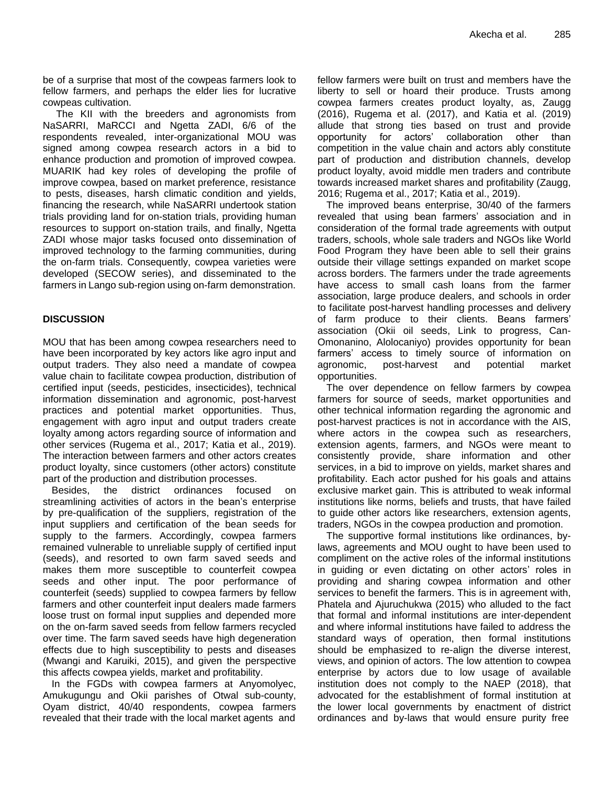be of a surprise that most of the cowpeas farmers look to fellow farmers, and perhaps the elder lies for lucrative cowpeas cultivation.

The KII with the breeders and agronomists from NaSARRI, MaRCCI and Ngetta ZADI, 6/6 of the respondents revealed, inter-organizational MOU was signed among cowpea research actors in a bid to enhance production and promotion of improved cowpea. MUARIK had key roles of developing the profile of improve cowpea, based on market preference, resistance to pests, diseases, harsh climatic condition and yields, financing the research, while NaSARRI undertook station trials providing land for on-station trials, providing human resources to support on-station trails, and finally, Ngetta ZADI whose major tasks focused onto dissemination of improved technology to the farming communities, during the on-farm trials. Consequently, cowpea varieties were developed (SECOW series), and disseminated to the farmers in Lango sub-region using on-farm demonstration.

## **DISCUSSION**

MOU that has been among cowpea researchers need to have been incorporated by key actors like agro input and output traders. They also need a mandate of cowpea value chain to facilitate cowpea production, distribution of certified input (seeds, pesticides, insecticides), technical information dissemination and agronomic, post-harvest practices and potential market opportunities. Thus, engagement with agro input and output traders create loyalty among actors regarding source of information and other services (Rugema et al., 2017; Katia et al., 2019). The interaction between farmers and other actors creates product loyalty, since customers (other actors) constitute part of the production and distribution processes.

Besides, the district ordinances focused on streamlining activities of actors in the bean's enterprise by pre-qualification of the suppliers, registration of the input suppliers and certification of the bean seeds for supply to the farmers. Accordingly, cowpea farmers remained vulnerable to unreliable supply of certified input (seeds), and resorted to own farm saved seeds and makes them more susceptible to counterfeit cowpea seeds and other input. The poor performance of counterfeit (seeds) supplied to cowpea farmers by fellow farmers and other counterfeit input dealers made farmers loose trust on formal input supplies and depended more on the on-farm saved seeds from fellow farmers recycled over time. The farm saved seeds have high degeneration effects due to high susceptibility to pests and diseases (Mwangi and Karuiki, 2015), and given the perspective this affects cowpea yields, market and profitability.

In the FGDs with cowpea farmers at Anyomolyec, Amukugungu and Okii parishes of Otwal sub-county, Oyam district, 40/40 respondents, cowpea farmers revealed that their trade with the local market agents and fellow farmers were built on trust and members have the liberty to sell or hoard their produce. Trusts among cowpea farmers creates product loyalty, as, Zaugg (2016), Rugema et al. (2017), and Katia et al. (2019) allude that strong ties based on trust and provide opportunity for actors" collaboration other than competition in the value chain and actors ably constitute part of production and distribution channels, develop product loyalty, avoid middle men traders and contribute towards increased market shares and profitability (Zaugg, 2016; Rugema et al., 2017; Katia et al., 2019).

The improved beans enterprise, 30/40 of the farmers revealed that using bean farmers' association and in consideration of the formal trade agreements with output traders, schools, whole sale traders and NGOs like World Food Program they have been able to sell their grains outside their village settings expanded on market scope across borders. The farmers under the trade agreements have access to small cash loans from the farmer association, large produce dealers, and schools in order to facilitate post-harvest handling processes and delivery of farm produce to their clients. Beans farmers' association (Okii oil seeds, Link to progress, Can-Omonanino, Alolocaniyo) provides opportunity for bean farmers' access to timely source of information on agronomic, post-harvest and potential market opportunities.

The over dependence on fellow farmers by cowpea farmers for source of seeds, market opportunities and other technical information regarding the agronomic and post-harvest practices is not in accordance with the AIS, where actors in the cowpea such as researchers, extension agents, farmers, and NGOs were meant to consistently provide, share information and other services, in a bid to improve on yields, market shares and profitability. Each actor pushed for his goals and attains exclusive market gain. This is attributed to weak informal institutions like norms, beliefs and trusts, that have failed to guide other actors like researchers, extension agents, traders, NGOs in the cowpea production and promotion.

The supportive formal institutions like ordinances, bylaws, agreements and MOU ought to have been used to compliment on the active roles of the informal institutions in guiding or even dictating on other actors' roles in providing and sharing cowpea information and other services to benefit the farmers. This is in agreement with, Phatela and Ajuruchukwa (2015) who alluded to the fact that formal and informal institutions are inter-dependent and where informal institutions have failed to address the standard ways of operation, then formal institutions should be emphasized to re-align the diverse interest, views, and opinion of actors. The low attention to cowpea enterprise by actors due to low usage of available institution does not comply to the NAEP (2018), that advocated for the establishment of formal institution at the lower local governments by enactment of district ordinances and by-laws that would ensure purity free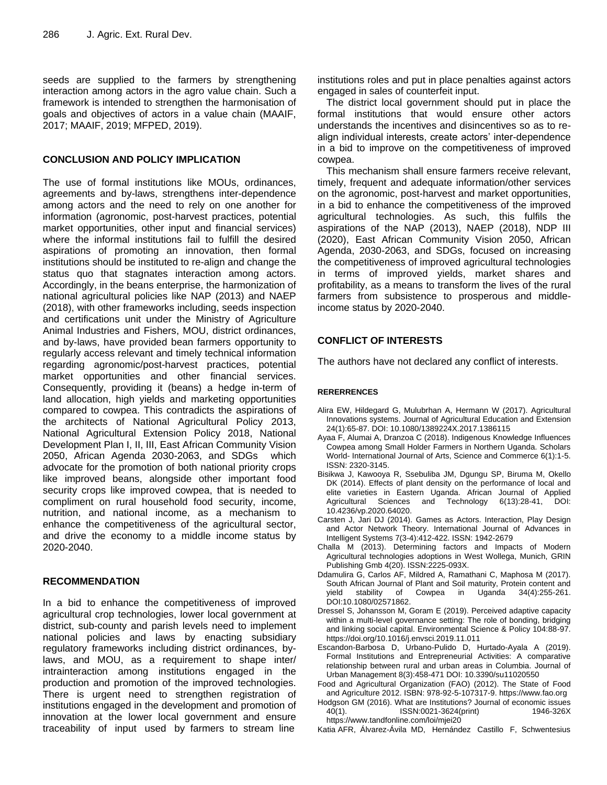seeds are supplied to the farmers by strengthening interaction among actors in the agro value chain. Such a framework is intended to strengthen the harmonisation of goals and objectives of actors in a value chain (MAAIF, 2017; MAAIF, 2019; MFPED, 2019).

#### **CONCLUSION AND POLICY IMPLICATION**

The use of formal institutions like MOUs, ordinances, agreements and by-laws, strengthens inter-dependence among actors and the need to rely on one another for information (agronomic, post-harvest practices, potential market opportunities, other input and financial services) where the informal institutions fail to fulfill the desired aspirations of promoting an innovation, then formal institutions should be instituted to re-align and change the status quo that stagnates interaction among actors. Accordingly, in the beans enterprise, the harmonization of national agricultural policies like NAP (2013) and NAEP (2018), with other frameworks including, seeds inspection and certifications unit under the Ministry of Agriculture Animal Industries and Fishers, MOU, district ordinances, and by-laws, have provided bean farmers opportunity to regularly access relevant and timely technical information regarding agronomic/post-harvest practices, potential market opportunities and other financial services. Consequently, providing it (beans) a hedge in-term of land allocation, high yields and marketing opportunities compared to cowpea. This contradicts the aspirations of the architects of National Agricultural Policy 2013, National Agricultural Extension Policy 2018, National Development Plan I, II, III, East African Community Vision 2050, African Agenda 2030-2063, and SDGs which advocate for the promotion of both national priority crops like improved beans, alongside other important food security crops like improved cowpea, that is needed to compliment on rural household food security, income, nutrition, and national income, as a mechanism to enhance the competitiveness of the agricultural sector, and drive the economy to a middle income status by 2020-2040.

## **RECOMMENDATION**

In a bid to enhance the competitiveness of improved agricultural crop technologies, lower local government at district, sub-county and parish levels need to implement national policies and laws by enacting subsidiary regulatory frameworks including district ordinances, bylaws, and MOU, as a requirement to shape inter/ intrainteraction among institutions engaged in the production and promotion of the improved technologies. There is urgent need to strengthen registration of institutions engaged in the development and promotion of innovation at the lower local government and ensure traceability of input used by farmers to stream line

institutions roles and put in place penalties against actors engaged in sales of counterfeit input.

The district local government should put in place the formal institutions that would ensure other actors understands the incentives and disincentives so as to realign individual interests, create actors' inter-dependence in a bid to improve on the competitiveness of improved cowpea.

This mechanism shall ensure farmers receive relevant, timely, frequent and adequate information/other services on the agronomic, post-harvest and market opportunities, in a bid to enhance the competitiveness of the improved agricultural technologies. As such, this fulfils the aspirations of the NAP (2013), NAEP (2018), NDP III (2020), East African Community Vision 2050, African Agenda, 2030-2063, and SDGs, focused on increasing the competitiveness of improved agricultural technologies in terms of improved yields, market shares and profitability, as a means to transform the lives of the rural farmers from subsistence to prosperous and middleincome status by 2020-2040.

## **CONFLICT OF INTERESTS**

The authors have not declared any conflict of interests.

#### **RERERRENCES**

- Alira EW, Hildegard G, Mulubrhan A, Hermann W (2017). Agricultural Innovations systems. Journal of Agricultural Education and Extension 24(1):65-87. DOI: 10.1080/1389224X.2017.1386115
- Ayaa F, Alumai A, Dranzoa C (2018). Indigenous Knowledge Influences Cowpea among Small Holder Farmers in Northern Uganda. Scholars World*-* International Journal of Arts, Science and Commerce 6(1):1-5. ISSN: 2320-3145.
- Bisikwa J, Kawooya R, Ssebuliba JM, Dgungu SP, Biruma M, Okello DK (2014). Effects of plant density on the performance of local and elite varieties in Eastern Uganda. African Journal of Applied Agricultural Sciences and Technology 6(13):28-41, DOI: 10.4236/vp.2020.64020.
- Carsten J, Jari DJ (2014). Games as Actors. Interaction, Play Design and Actor Network Theory. International Journal of Advances in Intelligent Systems 7(3-4):412-422. ISSN: 1942-2679
- Challa M (2013). Determining factors and Impacts of Modern Agricultural technologies adoptions in West Wollega, Munich, GRIN Publishing Gmb 4(20). ISSN:2225-093X.
- Ddamulira G, Carlos AF, Mildred A, Ramathani C, Maphosa M (2017). South African Journal of Plant and Soil maturity, Protein content and yield stability of Cowpea in Uganda 34(4):255-261. DOI:10.1080/02571862.
- Dressel S, Johansson M, Goram E (2019). Perceived adaptive capacity within a multi-level governance setting: The role of bonding, bridging and linking social capital. Environmental Science & Policy 104:88-97. https://doi.org/10.1016/j.envsci.2019.11.011
- Escandon-Barbosa D, Urbano-Pulido D, Hurtado-Ayala A (2019). Formal Institutions and Entrepreneurial Activities: A comparative relationship between rural and urban areas in Columbia. Journal of Urban Management 8(3):458-471 DOI: 10.3390/su11020550
- Food and Agricultural Organization (FAO) (2012). The State of Food and Agriculture 2012. ISBN: 978-92-5-107317-9. https://www.fao.org
- Hodgson GM (2016). What are Institutions? Journal of economic issues 40(1). ISSN:0021-3624(print) 1946-326X https://www.tandfonline.com/loi/mjei20
- Katia AFR, Álvarez-Ávila MD, Hernández Castillo F, Schwentesius